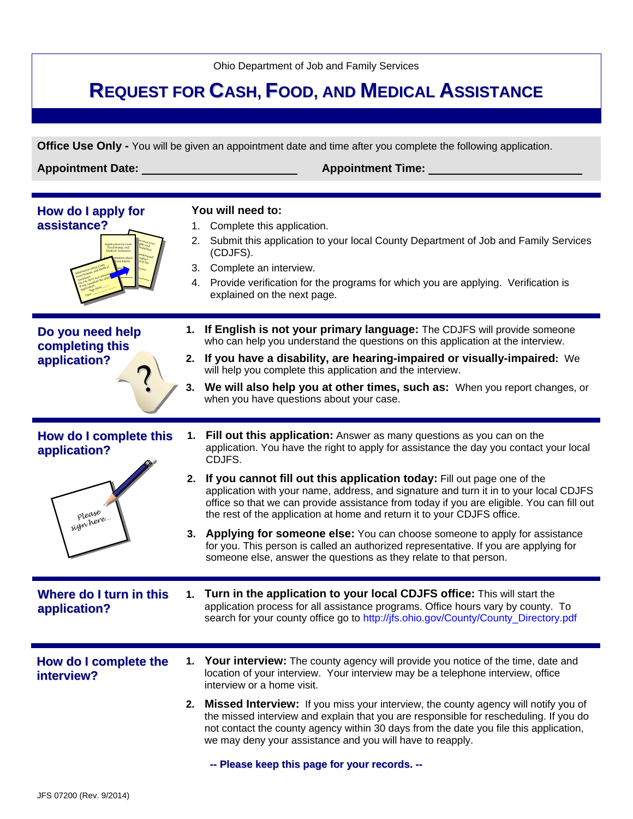Ohio Department of Job and Family Services

# **REQUEST FOR CASH, FOOD, AND MEDICAL ASSISTANCE**

**Office Use Only -** You will be given an appointment date and time after you complete the following application.

**Appointment Date: Appointment Time:** 

| How do I apply for<br>assistance?                              | 1.<br>2. | You will need to:<br>Complete this application.<br>Submit this application to your local County Department of Job and Family Services<br>(CDJFS).<br>3. Complete an interview.<br>4. Provide verification for the programs for which you are applying. Verification is<br>explained on the next page.                                                                                                                                                                                                                                                                                                                                                                                                                                                              |
|----------------------------------------------------------------|----------|--------------------------------------------------------------------------------------------------------------------------------------------------------------------------------------------------------------------------------------------------------------------------------------------------------------------------------------------------------------------------------------------------------------------------------------------------------------------------------------------------------------------------------------------------------------------------------------------------------------------------------------------------------------------------------------------------------------------------------------------------------------------|
| Do you need help<br>completing this<br>application?            | 1.<br>3. | If English is not your primary language: The CDJFS will provide someone<br>who can help you understand the questions on this application at the interview.<br>2. If you have a disability, are hearing-impaired or visually-impaired: We<br>will help you complete this application and the interview.<br>We will also help you at other times, such as: When you report changes, or<br>when you have questions about your case.                                                                                                                                                                                                                                                                                                                                   |
| How do I complete this<br>application?<br>please<br>sign here. | 1.<br>3. | Fill out this application: Answer as many questions as you can on the<br>application. You have the right to apply for assistance the day you contact your local<br>CDJFS.<br>2. If you cannot fill out this application today: Fill out page one of the<br>application with your name, address, and signature and turn it in to your local CDJFS<br>office so that we can provide assistance from today if you are eligible. You can fill out<br>the rest of the application at home and return it to your CDJFS office.<br>Applying for someone else: You can choose someone to apply for assistance<br>for you. This person is called an authorized representative. If you are applying for<br>someone else, answer the questions as they relate to that person. |
| Where do I turn in this<br>application?                        |          | 1. Turn in the application to your local CDJFS office: This will start the<br>application process for all assistance programs. Office hours vary by county. To<br>search for your county office go to http://jfs.ohio.gov/County/County_Directory.pdf                                                                                                                                                                                                                                                                                                                                                                                                                                                                                                              |
| How do I complete the<br>interview?                            |          | <b>Your interview:</b> The county agency will provide you notice of the time, date and<br>location of your interview. Your interview may be a telephone interview, office<br>interview or a home visit.<br>2. Missed Interview: If you miss your interview, the county agency will notify you of<br>the missed interview and explain that you are responsible for rescheduling. If you do<br>not contact the county agency within 30 days from the date you file this application,<br>we may deny your assistance and you will have to reapply.<br>-- Please keep this page for your records. --                                                                                                                                                                   |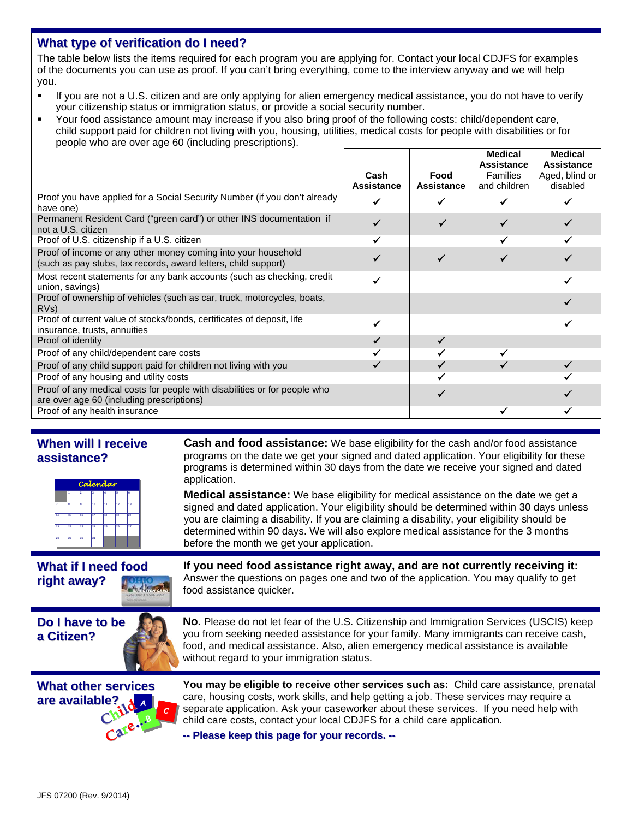## **What type of verification do I need?**

The table below lists the items required for each program you are applying for. Contact your local CDJFS for examples of the documents you can use as proof. If you can't bring everything, come to the interview anyway and we will help you.

- If you are not a U.S. citizen and are only applying for alien emergency medical assistance, you do not have to verify your citizenship status or immigration status, or provide a social security number.
- Your food assistance amount may increase if you also bring proof of the following costs: child/dependent care, child support paid for children not living with you, housing, utilities, medical costs for people with disabilities or for people who are over age 60 (including prescriptions).

|                                                                                                                                 |                   |                   | Medical<br>Assistance | <b>Medical</b><br>Assistance |
|---------------------------------------------------------------------------------------------------------------------------------|-------------------|-------------------|-----------------------|------------------------------|
|                                                                                                                                 | Cash              | Food              | <b>Families</b>       | Aged, blind or               |
|                                                                                                                                 | <b>Assistance</b> | <b>Assistance</b> | and children          | disabled                     |
| Proof you have applied for a Social Security Number (if you don't already<br>have one)                                          |                   |                   |                       |                              |
| Permanent Resident Card ("green card") or other INS documentation if<br>not a U.S. citizen                                      |                   |                   |                       |                              |
| Proof of U.S. citizenship if a U.S. citizen                                                                                     |                   |                   |                       |                              |
| Proof of income or any other money coming into your household<br>(such as pay stubs, tax records, award letters, child support) |                   |                   |                       |                              |
| Most recent statements for any bank accounts (such as checking, credit<br>union, savings)                                       |                   |                   |                       |                              |
| Proof of ownership of vehicles (such as car, truck, motorcycles, boats,<br>RV <sub>s</sub> )                                    |                   |                   |                       |                              |
| Proof of current value of stocks/bonds, certificates of deposit, life<br>insurance, trusts, annuities                           |                   |                   |                       |                              |
| Proof of identity                                                                                                               |                   | $\checkmark$      |                       |                              |
| Proof of any child/dependent care costs                                                                                         |                   |                   |                       |                              |
| Proof of any child support paid for children not living with you                                                                |                   |                   |                       |                              |
| Proof of any housing and utility costs                                                                                          |                   |                   |                       |                              |
| Proof of any medical costs for people with disabilities or for people who<br>are over age 60 (including prescriptions)          |                   |                   |                       |                              |
| Proof of any health insurance                                                                                                   |                   |                   |                       |                              |

## **When will I receive assistance?**



**Cash and food assistance:** We base eligibility for the cash and/or food assistance programs on the date we get your signed and dated application. Your eligibility for these programs is determined within 30 days from the date we receive your signed and dated application.

**Medical assistance:** We base eligibility for medical assistance on the date we get a signed and dated application. Your eligibility should be determined within 30 days unless you are claiming a disability. If you are claiming a disability, your eligibility should be determined within 90 days. We will also explore medical assistance for the 3 months before the month we get your application.

# **What if I need food right away?**

**If you need food assistance right away, and are not currently receiving it:** Answer the questions on pages one and two of the application. You may qualify to get food assistance quicker.



**No.** Please do not let fear of the U.S. Citizenship and Immigration Services (USCIS) keep you from seeking needed assistance for your family. Many immigrants can receive cash, food, and medical assistance. Also, alien emergency medical assistance is available without regard to your immigration status.



**You may be eligible to receive other services such as:** Child care assistance, prenatal care, housing costs, work skills, and help getting a job. These services may require a separate application. Ask your caseworker about these services. If you need help with child care costs, contact your local CDJFS for a child care application.

**--Please keep thispageforyourrecords.--**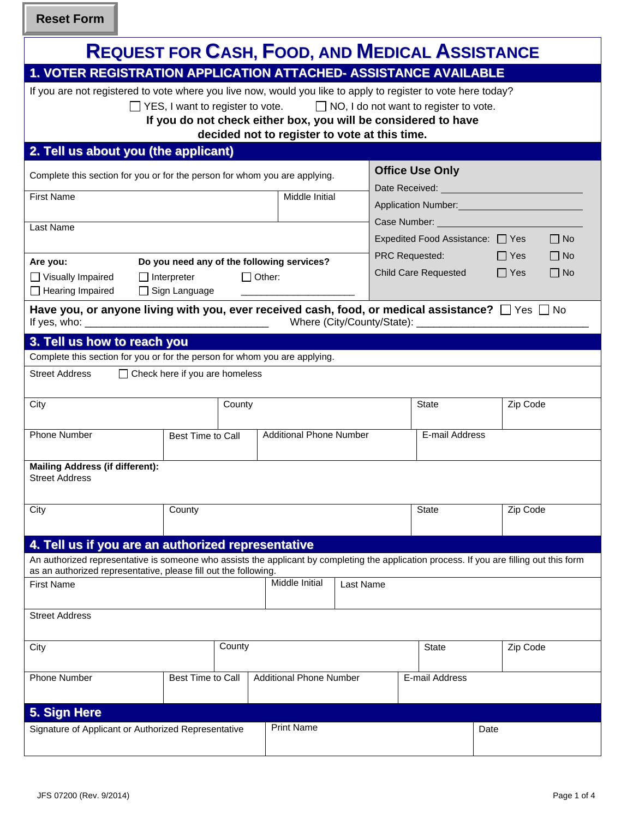**Reset Form**

| <b>REQUEST FOR CASH, FOOD, AND MEDICAL ASSISTANCE</b>                                                                                                                                                                                                                                                           |                                                                       |                                |                |                                                                                                                                                                                                                                                                                                                                                                                                                                                                                                                                                                                                                         |                         |  |  |
|-----------------------------------------------------------------------------------------------------------------------------------------------------------------------------------------------------------------------------------------------------------------------------------------------------------------|-----------------------------------------------------------------------|--------------------------------|----------------|-------------------------------------------------------------------------------------------------------------------------------------------------------------------------------------------------------------------------------------------------------------------------------------------------------------------------------------------------------------------------------------------------------------------------------------------------------------------------------------------------------------------------------------------------------------------------------------------------------------------------|-------------------------|--|--|
| 1. VOTER REGISTRATION APPLICATION ATTACHED- ASSISTANCE AVAILABLE                                                                                                                                                                                                                                                |                                                                       |                                |                |                                                                                                                                                                                                                                                                                                                                                                                                                                                                                                                                                                                                                         |                         |  |  |
| If you are not registered to vote where you live now, would you like to apply to register to vote here today?<br>□ YES, I want to register to vote. □ NO, I do not want to register to vote.<br>If you do not check either box, you will be considered to have<br>decided not to register to vote at this time. |                                                                       |                                |                |                                                                                                                                                                                                                                                                                                                                                                                                                                                                                                                                                                                                                         |                         |  |  |
| 2. Tell us about you (the applicant)                                                                                                                                                                                                                                                                            |                                                                       |                                |                |                                                                                                                                                                                                                                                                                                                                                                                                                                                                                                                                                                                                                         |                         |  |  |
| Complete this section for you or for the person for whom you are applying.<br>Middle Initial<br><b>First Name</b><br>Last Name<br>Are you:<br>Do you need any of the following services?                                                                                                                        |                                                                       |                                |                | <b>Office Use Only</b><br>Date Received: <u>contract and the set of the set of the set of the set of the set of the set of the set of the set of the set of the set of the set of the set of the set of the set of the set of the set of the set of the se</u><br>Application Number: 1997<br>Case Number: Name of Second State Second State State State State State State State State State State State State State State State State State State State State State State State State State State State State State State S<br>$\Box$ No<br>Expedited Food Assistance: □ Yes<br>PRC Requested: $\Box$ Yes<br>$\Box$ No |                         |  |  |
| Visually Impaired<br>$\Box$ Interpreter                                                                                                                                                                                                                                                                         | $\Box$ Other:                                                         |                                |                | <b>Child Care Requested</b>                                                                                                                                                                                                                                                                                                                                                                                                                                                                                                                                                                                             | $\Box$ Yes<br>$\Box$ No |  |  |
| $\Box$ Hearing Impaired<br>$\Box$ Sign Language<br>Have you, or anyone living with you, ever received cash, food, or medical assistance? $\Box$ Yes $\Box$ No<br>3. Tell us how to reach you                                                                                                                    |                                                                       |                                |                |                                                                                                                                                                                                                                                                                                                                                                                                                                                                                                                                                                                                                         |                         |  |  |
| Complete this section for you or for the person for whom you are applying.                                                                                                                                                                                                                                      |                                                                       |                                |                |                                                                                                                                                                                                                                                                                                                                                                                                                                                                                                                                                                                                                         |                         |  |  |
| <b>Street Address</b><br>$\Box$ Check here if you are homeless                                                                                                                                                                                                                                                  |                                                                       |                                |                |                                                                                                                                                                                                                                                                                                                                                                                                                                                                                                                                                                                                                         |                         |  |  |
| City                                                                                                                                                                                                                                                                                                            | County                                                                |                                |                | State                                                                                                                                                                                                                                                                                                                                                                                                                                                                                                                                                                                                                   | Zip Code                |  |  |
| Phone Number                                                                                                                                                                                                                                                                                                    | <b>Additional Phone Number</b><br>E-mail Address<br>Best Time to Call |                                |                |                                                                                                                                                                                                                                                                                                                                                                                                                                                                                                                                                                                                                         |                         |  |  |
| <b>Mailing Address (if different):</b><br><b>Street Address</b>                                                                                                                                                                                                                                                 |                                                                       |                                |                |                                                                                                                                                                                                                                                                                                                                                                                                                                                                                                                                                                                                                         |                         |  |  |
| City<br>County                                                                                                                                                                                                                                                                                                  |                                                                       |                                |                | <b>State</b>                                                                                                                                                                                                                                                                                                                                                                                                                                                                                                                                                                                                            | Zip Code                |  |  |
|                                                                                                                                                                                                                                                                                                                 |                                                                       |                                |                |                                                                                                                                                                                                                                                                                                                                                                                                                                                                                                                                                                                                                         |                         |  |  |
| 4. Tell us if you are an authorized representative                                                                                                                                                                                                                                                              |                                                                       |                                |                |                                                                                                                                                                                                                                                                                                                                                                                                                                                                                                                                                                                                                         |                         |  |  |
| An authorized representative is someone who assists the applicant by completing the application process. If you are filling out this form<br>as an authorized representative, please fill out the following.                                                                                                    |                                                                       |                                |                |                                                                                                                                                                                                                                                                                                                                                                                                                                                                                                                                                                                                                         |                         |  |  |
| <b>First Name</b>                                                                                                                                                                                                                                                                                               |                                                                       | Middle Initial<br>Last Name    |                |                                                                                                                                                                                                                                                                                                                                                                                                                                                                                                                                                                                                                         |                         |  |  |
| <b>Street Address</b>                                                                                                                                                                                                                                                                                           |                                                                       |                                |                |                                                                                                                                                                                                                                                                                                                                                                                                                                                                                                                                                                                                                         |                         |  |  |
| City                                                                                                                                                                                                                                                                                                            | County                                                                |                                |                | State                                                                                                                                                                                                                                                                                                                                                                                                                                                                                                                                                                                                                   | Zip Code                |  |  |
| <b>Best Time to Call</b><br><b>Phone Number</b>                                                                                                                                                                                                                                                                 |                                                                       | <b>Additional Phone Number</b> | E-mail Address |                                                                                                                                                                                                                                                                                                                                                                                                                                                                                                                                                                                                                         |                         |  |  |
| 5. Sign Here                                                                                                                                                                                                                                                                                                    |                                                                       |                                |                |                                                                                                                                                                                                                                                                                                                                                                                                                                                                                                                                                                                                                         |                         |  |  |
| Signature of Applicant or Authorized Representative                                                                                                                                                                                                                                                             |                                                                       | <b>Print Name</b>              |                |                                                                                                                                                                                                                                                                                                                                                                                                                                                                                                                                                                                                                         | Date                    |  |  |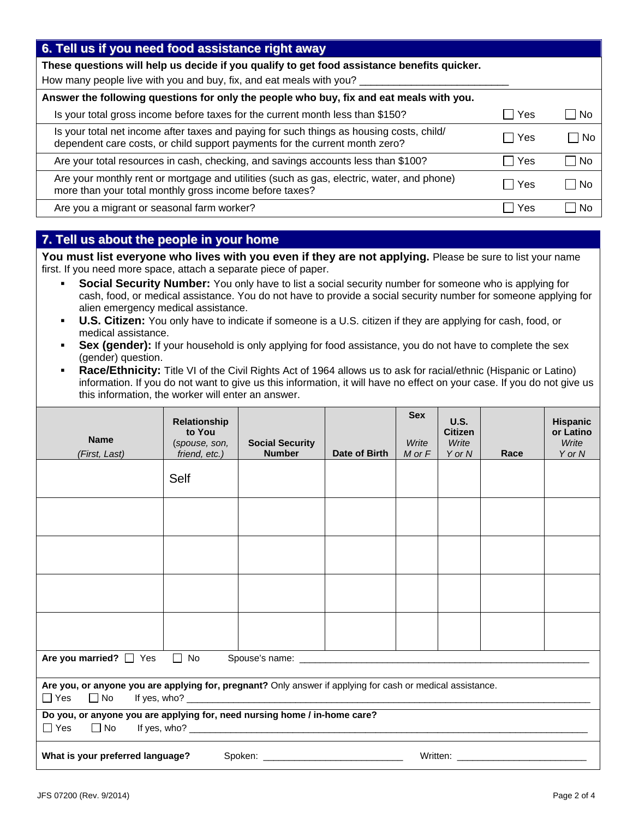| 6. Tell us if you need food assistance right away                                                                                                                       |       |                        |
|-------------------------------------------------------------------------------------------------------------------------------------------------------------------------|-------|------------------------|
| These questions will help us decide if you qualify to get food assistance benefits quicker.                                                                             |       |                        |
| How many people live with you and buy, fix, and eat meals with you?                                                                                                     |       |                        |
| Answer the following questions for only the people who buy, fix and eat meals with you.                                                                                 |       |                        |
| Is your total gross income before taxes for the current month less than \$150?                                                                                          | Yes   | l No<br>$\blacksquare$ |
| Is your total net income after taxes and paying for such things as housing costs, child/<br>dependent care costs, or child support payments for the current month zero? | □ Yes | – I No                 |
| Are your total resources in cash, checking, and savings accounts less than \$100?                                                                                       | l Yes | No                     |
| Are your monthly rent or mortgage and utilities (such as gas, electric, water, and phone)<br>more than your total monthly gross income before taxes?                    | l Yes | No.                    |
| Are you a migrant or seasonal farm worker?                                                                                                                              | Yes   | Nο                     |

# **7. Tell us about the people in your home**

You must list everyone who lives with you even if they are not applying. Please be sure to list your name first. If you need more space, attach a separate piece of paper.

- **Social Security Number:** You only have to list a social security number for someone who is applying for cash, food, or medical assistance. You do not have to provide a social security number for someone applying for alien emergency medical assistance.
- **U.S. Citizen:** You only have to indicate if someone is a U.S. citizen if they are applying for cash, food, or medical assistance.
- **Sex (gender):** If your household is only applying for food assistance, you do not have to complete the sex (gender) question.
- **Race/Ethnicity:** Title VI of the Civil Rights Act of 1964 allows us to ask for racial/ethnic (Hispanic or Latino) information. If you do not want to give us this information, it will have no effect on your case. If you do not give us this information, the worker will enter an answer.

| <b>Name</b><br>(First, Last)                                                                                                                                                                                                  | <b>Relationship</b><br>to You<br>(spouse, son,<br>friend, etc.) | <b>Social Security</b><br><b>Number</b> | Date of Birth | <b>Sex</b><br>Write<br>$M$ or $F$ | U.S.<br><b>Citizen</b><br>Write<br>Y or N | Race | <b>Hispanic</b><br>or Latino<br>Write<br>Y or N |  |
|-------------------------------------------------------------------------------------------------------------------------------------------------------------------------------------------------------------------------------|-----------------------------------------------------------------|-----------------------------------------|---------------|-----------------------------------|-------------------------------------------|------|-------------------------------------------------|--|
|                                                                                                                                                                                                                               | Self                                                            |                                         |               |                                   |                                           |      |                                                 |  |
|                                                                                                                                                                                                                               |                                                                 |                                         |               |                                   |                                           |      |                                                 |  |
|                                                                                                                                                                                                                               |                                                                 |                                         |               |                                   |                                           |      |                                                 |  |
|                                                                                                                                                                                                                               |                                                                 |                                         |               |                                   |                                           |      |                                                 |  |
|                                                                                                                                                                                                                               |                                                                 |                                         |               |                                   |                                           |      |                                                 |  |
|                                                                                                                                                                                                                               | $\Box$ No<br>Are you married? $\Box$ Yes                        |                                         |               |                                   |                                           |      |                                                 |  |
| Are you, or anyone you are applying for, pregnant? Only answer if applying for cash or medical assistance.<br>$\Box$ Yes<br>$\Box$ No                                                                                         |                                                                 |                                         |               |                                   |                                           |      |                                                 |  |
| Do you, or anyone you are applying for, need nursing home / in-home care?<br>$\Box$ Yes $\Box$ No                                                                                                                             |                                                                 |                                         |               |                                   |                                           |      |                                                 |  |
| Written: when the contract of the contract of the contract of the contract of the contract of the contract of the contract of the contract of the contract of the contract of the contract of the contract of the contract of |                                                                 |                                         |               |                                   |                                           |      |                                                 |  |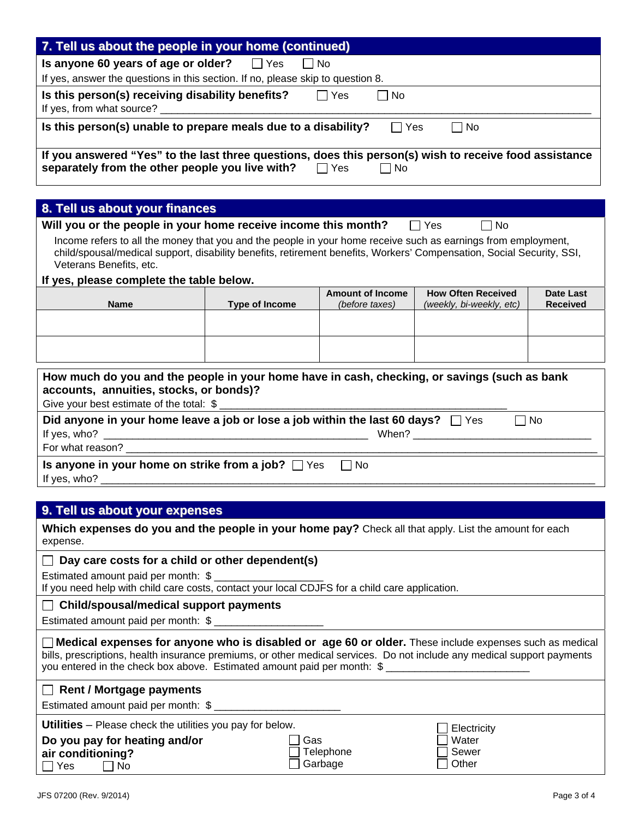| 7. Tell us about the people in your home (continued)                                                                                                                                                                                                                                                                |                                               |                                           |                                                       |                              |  |  |  |
|---------------------------------------------------------------------------------------------------------------------------------------------------------------------------------------------------------------------------------------------------------------------------------------------------------------------|-----------------------------------------------|-------------------------------------------|-------------------------------------------------------|------------------------------|--|--|--|
| Is anyone 60 years of age or older?                                                                                                                                                                                                                                                                                 | $\Box$ Yes                                    | $\Box$ No                                 |                                                       |                              |  |  |  |
| If yes, answer the questions in this section. If no, please skip to question 8.                                                                                                                                                                                                                                     |                                               |                                           |                                                       |                              |  |  |  |
| Is this person(s) receiving disability benefits?                                                                                                                                                                                                                                                                    |                                               | $\Box$ Yes<br>  No                        |                                                       |                              |  |  |  |
|                                                                                                                                                                                                                                                                                                                     |                                               |                                           |                                                       |                              |  |  |  |
| Is this person(s) unable to prepare meals due to a disability?                                                                                                                                                                                                                                                      |                                               | $\Box$ Yes                                | <b>No</b>                                             |                              |  |  |  |
| If you answered "Yes" to the last three questions, does this person(s) wish to receive food assistance<br>separately from the other people you live with? $\Box$ Yes $\Box$ No                                                                                                                                      |                                               |                                           |                                                       |                              |  |  |  |
| 8. Tell us about your finances                                                                                                                                                                                                                                                                                      |                                               |                                           |                                                       |                              |  |  |  |
| Will you or the people in your home receive income this month?                                                                                                                                                                                                                                                      |                                               |                                           | ∣ Yes<br>$\Box$ No                                    |                              |  |  |  |
| Income refers to all the money that you and the people in your home receive such as earnings from employment,<br>child/spousal/medical support, disability benefits, retirement benefits, Workers' Compensation, Social Security, SSI,<br>Veterans Benefits, etc.                                                   |                                               |                                           |                                                       |                              |  |  |  |
| If yes, please complete the table below.                                                                                                                                                                                                                                                                            |                                               |                                           |                                                       |                              |  |  |  |
| <b>Name</b>                                                                                                                                                                                                                                                                                                         | <b>Type of Income</b>                         | <b>Amount of Income</b><br>(before taxes) | <b>How Often Received</b><br>(weekly, bi-weekly, etc) | Date Last<br><b>Received</b> |  |  |  |
|                                                                                                                                                                                                                                                                                                                     |                                               |                                           |                                                       |                              |  |  |  |
|                                                                                                                                                                                                                                                                                                                     |                                               |                                           |                                                       |                              |  |  |  |
|                                                                                                                                                                                                                                                                                                                     |                                               |                                           |                                                       |                              |  |  |  |
| How much do you and the people in your home have in cash, checking, or savings (such as bank<br>accounts, annuities, stocks, or bonds)?<br>Did anyone in your home leave a job or lose a job within the last 60 days? $\Box$ Yes<br>$\Box$ No                                                                       |                                               |                                           |                                                       |                              |  |  |  |
| For what reason? ________________                                                                                                                                                                                                                                                                                   |                                               |                                           |                                                       |                              |  |  |  |
| Is anyone in your home on strike from a job? $\Box$ Yes                                                                                                                                                                                                                                                             |                                               | l INo                                     |                                                       |                              |  |  |  |
|                                                                                                                                                                                                                                                                                                                     |                                               |                                           |                                                       |                              |  |  |  |
| 9. Tell us about your expenses                                                                                                                                                                                                                                                                                      |                                               |                                           |                                                       |                              |  |  |  |
| Which expenses do you and the people in your home pay? Check all that apply. List the amount for each<br>expense.                                                                                                                                                                                                   |                                               |                                           |                                                       |                              |  |  |  |
| Day care costs for a child or other dependent(s)                                                                                                                                                                                                                                                                    |                                               |                                           |                                                       |                              |  |  |  |
| Estimated amount paid per month: \$ _______________<br>If you need help with child care costs, contact your local CDJFS for a child care application.                                                                                                                                                               |                                               |                                           |                                                       |                              |  |  |  |
|                                                                                                                                                                                                                                                                                                                     | <b>Child/spousal/medical support payments</b> |                                           |                                                       |                              |  |  |  |
| Estimated amount paid per month: \$ ____________________                                                                                                                                                                                                                                                            |                                               |                                           |                                                       |                              |  |  |  |
| $\Box$ Medical expenses for anyone who is disabled or age 60 or older. These include expenses such as medical<br>bills, prescriptions, health insurance premiums, or other medical services. Do not include any medical support payments<br>you entered in the check box above. Estimated amount paid per month: \$ |                                               |                                           |                                                       |                              |  |  |  |
| $\Box$ Rent / Mortgage payments<br>Estimated amount paid per month: \$ _____________________                                                                                                                                                                                                                        |                                               |                                           |                                                       |                              |  |  |  |
| <b>Utilities</b> – Please check the utilities you pay for below.                                                                                                                                                                                                                                                    |                                               |                                           |                                                       |                              |  |  |  |
| Electricity<br>Do you pay for heating and/or<br>Gas<br>Water<br>Telephone<br>Sewer<br>air conditioning?<br>Garbage<br>Other<br>Yes<br>No                                                                                                                                                                            |                                               |                                           |                                                       |                              |  |  |  |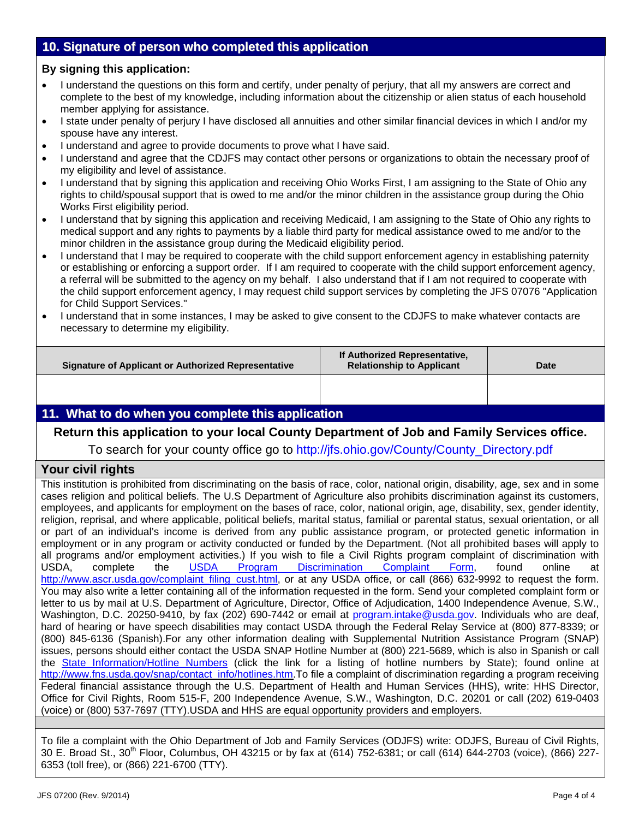## **10. Signature of person who completed this application**

#### **By signing this application:**

- I understand the questions on this form and certify, under penalty of perjury, that all my answers are correct and complete to the best of my knowledge, including information about the citizenship or alien status of each household member applying for assistance.
- I state under penalty of perjury I have disclosed all annuities and other similar financial devices in which I and/or my spouse have any interest.
- I understand and agree to provide documents to prove what I have said.
- I understand and agree that the CDJFS may contact other persons or organizations to obtain the necessary proof of my eligibility and level of assistance.
- I understand that by signing this application and receiving Ohio Works First, I am assigning to the State of Ohio any rights to child/spousal support that is owed to me and/or the minor children in the assistance group during the Ohio Works First eligibility period.
- I understand that by signing this application and receiving Medicaid, I am assigning to the State of Ohio any rights to medical support and any rights to payments by a liable third party for medical assistance owed to me and/or to the minor children in the assistance group during the Medicaid eligibility period.
- I understand that I may be required to cooperate with the child support enforcement agency in establishing paternity or establishing or enforcing a support order. If I am required to cooperate with the child support enforcement agency, a referral will be submitted to the agency on my behalf. I also understand that if I am not required to cooperate with the child support enforcement agency, I may request child support services by completing the JFS 07076 "Application for Child Support Services."
- I understand that in some instances, I may be asked to give consent to the CDJFS to make whatever contacts are necessary to determine my eligibility.

| Signature of Applicant or Authorized Representative | If Authorized Representative,<br><b>Relationship to Applicant</b> | Date |
|-----------------------------------------------------|-------------------------------------------------------------------|------|
|                                                     |                                                                   |      |

## **11. What to do when you complete this application**

## **Return this application to your local County Department of Job and Family Services office.**

To search for your county office go to http://jfs.ohio.gov/County/County\_Directory.pdf

## **Your civil rights**

This institution is prohibited from discriminating on the basis of race, color, national origin, disability, age, sex and in some cases religion and political beliefs. The U.S Department of Agriculture also prohibits discrimination against its customers, employees, and applicants for employment on the bases of race, color, national origin, age, disability, sex, gender identity, religion, reprisal, and where applicable, political beliefs, marital status, familial or parental status, sexual orientation, or all or part of an individual's income is derived from any public assistance program, or protected genetic information in employment or in any program or activity conducted or funded by the Department. (Not all prohibited bases will apply to all programs and/or employment activities.) If you wish to file a Civil Rights program complaint of discrimination with USDA, complete the USDA Program Discrimination Complaint Form, found online at http://www.ascr.usda.gov/complaint\_filing\_cust.html, or at any USDA office, or call (866) 632-9992 to request the form. You may also write a letter containing all of the information requested in the form. Send your completed complaint form or letter to us by mail at U.S. Department of Agriculture, Director, Office of Adjudication, 1400 Independence Avenue, S.W., Washington, D.C. 20250-9410, by fax (202) 690-7442 or email at program.intake@usda.gov. Individuals who are deaf, hard of hearing or have speech disabilities may contact USDA through the Federal Relay Service at (800) 877-8339; or (800) 845-6136 (Spanish).For any other information dealing with Supplemental Nutrition Assistance Program (SNAP) issues, persons should either contact the USDA SNAP Hotline Number at (800) 221-5689, which is also in Spanish or call the [State Information/Hotline Numbers](http://www.fns.usda.gov/snap/contact_info/hotlines.htm) (click the link for a listing of hotline numbers by State); found online at [http://www.fns.usda.gov/snap/contact\\_info/hotlines.htm.](http://www.fns.usda.gov/snap/contact_info/hotlines.htm)To file a complaint of discrimination regarding a program receiving Federal financial assistance through the U.S. Department of Health and Human Services (HHS), write: HHS Director, Office for Civil Rights, Room 515-F, 200 Independence Avenue, S.W., Washington, D.C. 20201 or call (202) 619-0403 (voice) or (800) 537-7697 (TTY).USDA and HHS are equal opportunity providers and employers.

To file a complaint with the Ohio Department of Job and Family Services (ODJFS) write: ODJFS, Bureau of Civil Rights, 30 E. Broad St., 30<sup>th</sup> Floor, Columbus, OH 43215 or by fax at (614) 752-6381; or call (614) 644-2703 (voice), (866) 227-6353 (toll free), or (866) 221-6700 (TTY).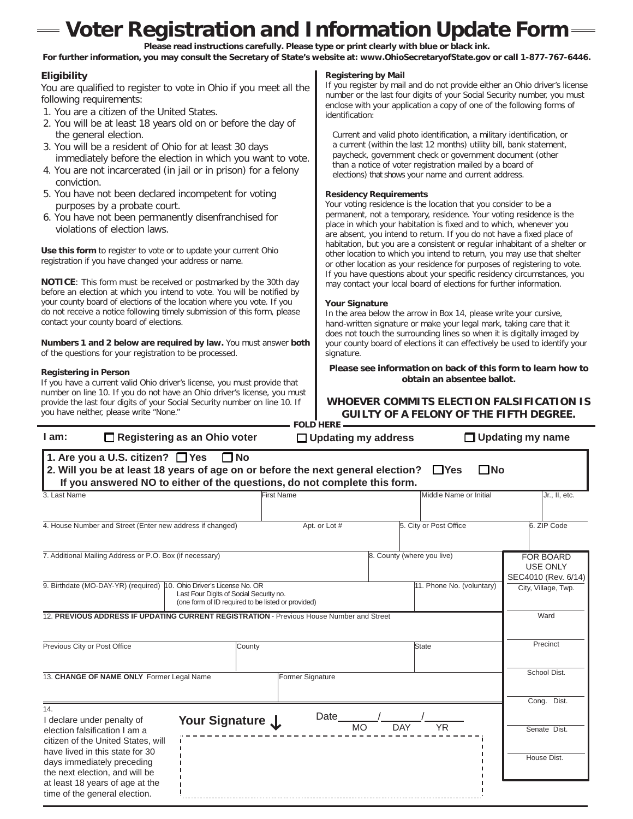# **Voter Registration and Information Update Form**

**Please read instructions carefully. Please type or print clearly with blue or black ink.** For further information, you may consult the Secretary of State's website at: [www.OhioSecretaryofState.gov](http://www.ohiosecretaryofstate.gov/) or call 1-877-767-6446.

#### **Eligibility**

You are qualified to register to vote in Ohio if you meet all the following requirements:

- 1. You are a citizen of the United States.
- 2. You will be at least 18 years old on or before the day of the general election.
- 3. You will be a resident of Ohio for at least 30 days immediately before the election in which you want to vote.
- 4. You are not incarcerated (in jail or in prison) for a felony conviction.
- 5. You have not been declared incompetent for voting purposes by a probate court.
- 6. You have not been permanently disenfranchised for violations of election laws.

**Use this form** to register to vote or to update your current Ohio registration if you have changed your address or name.

**NOTICE**: This form must be received or postmarked by the 30th day before an election at which you intend to vote. You will be notified by your county board of elections of the location where you vote. If you do not receive a notice following timely submission of this form, please contact your county board of elections.

**Numbers 1 and 2 below are required by law.** You must answer **both** of the questions for your registration to be processed.

#### **Registering in Person**

If you have a current valid Ohio driver's license, you must provide that number on line 10. If you do not have an Ohio driver's license, you must provide the last four digits of your Social Security number on line 10. If you have neither, please write "None."

#### **Registering by Mail**

If you register by mail and do not provide either an Ohio driver's license number or the last four digits of your Social Security number, you must enclose with your application a copy of one of the following forms of identification:

Current and valid photo identification, a military identification, or a current (within the last 12 months) utility bill, bank statement, paycheck, government check or government document (other than a notice of voter registration mailed by a board of elections) that shows your name and current address.

#### **Residency Requirements**

Your voting residence is the location that you consider to be a permanent, not a temporary, residence. Your voting residence is the place in which your habitation is fixed and to which, whenever you are absent, you intend to return. If you do not have a fixed place of habitation, but you are a consistent or regular inhabitant of a shelter or other location to which you intend to return, you may use that shelter or other location as your residence for purposes of registering to vote. If you have questions about your specific residency circumstances, you may contact your local board of elections for further information.

#### **Your Signature**

In the area below the arrow in Box 14, please write your cursive, hand-written signature or make your legal mark, taking care that it does not touch the surrounding lines so when it is digitally imaged by your county board of elections it can effectively be used to identify your signature.

**Please see information on back of this form to learn how to obtain an absentee ballot.**

#### **WHOEVER COMMITS ELECTION FALSIFICATION IS GUILTY OF A FELONY OF THE FIFTH DEGREE. FOLD HERE**

| $I$ am:                                                                                                                                                                                                                            | $\Box$ Registering as an Ohio voter                                                           | $\Box$ Updating my address |                            |                           | $\Box$ Updating my name                                    |  |  |  |
|------------------------------------------------------------------------------------------------------------------------------------------------------------------------------------------------------------------------------------|-----------------------------------------------------------------------------------------------|----------------------------|----------------------------|---------------------------|------------------------------------------------------------|--|--|--|
| 1. Are you a U.S. citizen? □ Yes<br>$\Box$ No<br>2. Will you be at least 18 years of age on or before the next general election?<br>$\Box$ Yes<br>∃No<br>If you answered NO to either of the questions, do not complete this form. |                                                                                               |                            |                            |                           |                                                            |  |  |  |
| 3. Last Name                                                                                                                                                                                                                       |                                                                                               | <b>First Name</b>          |                            | Middle Name or Initial    | Jr., II, etc.                                              |  |  |  |
| 4. House Number and Street (Enter new address if changed)                                                                                                                                                                          |                                                                                               | Apt. or Lot #              |                            | 5. City or Post Office    | 6. ZIP Code                                                |  |  |  |
| 7. Additional Mailing Address or P.O. Box (if necessary)                                                                                                                                                                           |                                                                                               |                            | 8. County (where you live) |                           | <b>FOR BOARD</b><br><b>USE ONLY</b><br>SEC4010 (Rev. 6/14) |  |  |  |
| 9. Birthdate (MO-DAY-YR) (required) 10. Ohio Driver's License No. OR                                                                                                                                                               | Last Four Digits of Social Security no.<br>(one form of ID required to be listed or provided) |                            |                            | 11. Phone No. (voluntary) | City, Village, Twp.                                        |  |  |  |
| 12. PREVIOUS ADDRESS IF UPDATING CURRENT REGISTRATION - Previous House Number and Street                                                                                                                                           |                                                                                               |                            |                            |                           | Ward                                                       |  |  |  |
| Previous City or Post Office                                                                                                                                                                                                       | County                                                                                        |                            | State                      |                           | Precinct                                                   |  |  |  |
| 13. CHANGE OF NAME ONLY Former Legal Name                                                                                                                                                                                          |                                                                                               | Former Signature           |                            |                           | School Dist.                                               |  |  |  |
| 14.<br>I declare under penalty of<br>election falsification I am a                                                                                                                                                                 | Your Signature J                                                                              | Date<br><b>MO</b>          | <b>DAY</b>                 | <b>YR</b>                 | Cong. Dist.<br>Senate Dist.                                |  |  |  |
| citizen of the United States, will<br>have lived in this state for 30<br>days immediately preceding<br>the next election, and will be<br>at least 18 years of age at the<br>time of the general election.                          |                                                                                               |                            |                            |                           | House Dist.                                                |  |  |  |